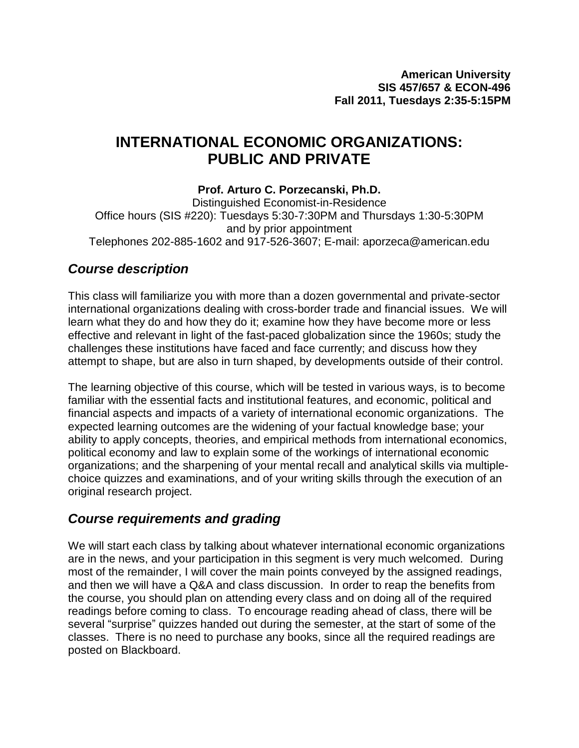# **INTERNATIONAL ECONOMIC ORGANIZATIONS: PUBLIC AND PRIVATE**

# **Prof. Arturo C. Porzecanski, Ph.D.**

Distinguished Economist-in-Residence Office hours (SIS #220): Tuesdays 5:30-7:30PM and Thursdays 1:30-5:30PM and by prior appointment Telephones 202-885-1602 and 917-526-3607; E-mail: aporzeca@american.edu

# *Course description*

This class will familiarize you with more than a dozen governmental and private-sector international organizations dealing with cross-border trade and financial issues. We will learn what they do and how they do it; examine how they have become more or less effective and relevant in light of the fast-paced globalization since the 1960s; study the challenges these institutions have faced and face currently; and discuss how they attempt to shape, but are also in turn shaped, by developments outside of their control.

The learning objective of this course, which will be tested in various ways, is to become familiar with the essential facts and institutional features, and economic, political and financial aspects and impacts of a variety of international economic organizations. The expected learning outcomes are the widening of your factual knowledge base; your ability to apply concepts, theories, and empirical methods from international economics, political economy and law to explain some of the workings of international economic organizations; and the sharpening of your mental recall and analytical skills via multiplechoice quizzes and examinations, and of your writing skills through the execution of an original research project.

# *Course requirements and grading*

We will start each class by talking about whatever international economic organizations are in the news, and your participation in this segment is very much welcomed. During most of the remainder, I will cover the main points conveyed by the assigned readings, and then we will have a Q&A and class discussion. In order to reap the benefits from the course, you should plan on attending every class and on doing all of the required readings before coming to class. To encourage reading ahead of class, there will be several "surprise" quizzes handed out during the semester, at the start of some of the classes. There is no need to purchase any books, since all the required readings are posted on Blackboard.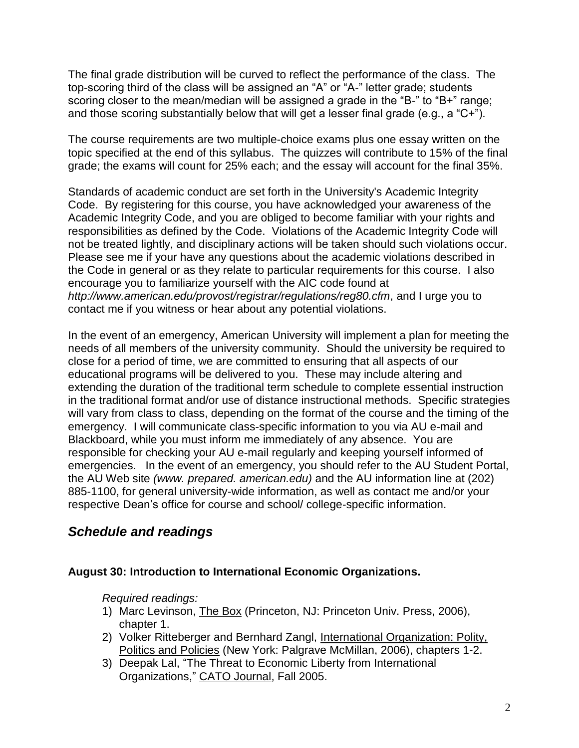The final grade distribution will be curved to reflect the performance of the class. The top-scoring third of the class will be assigned an "A" or "A-" letter grade; students scoring closer to the mean/median will be assigned a grade in the "B-" to "B+" range; and those scoring substantially below that will get a lesser final grade (e.g., a "C+").

The course requirements are two multiple-choice exams plus one essay written on the topic specified at the end of this syllabus. The quizzes will contribute to 15% of the final grade; the exams will count for 25% each; and the essay will account for the final 35%.

Standards of academic conduct are set forth in the University's Academic Integrity Code. By registering for this course, you have acknowledged your awareness of the Academic Integrity Code, and you are obliged to become familiar with your rights and responsibilities as defined by the Code. Violations of the Academic Integrity Code will not be treated lightly, and disciplinary actions will be taken should such violations occur. Please see me if your have any questions about the academic violations described in the Code in general or as they relate to particular requirements for this course. I also encourage you to familiarize yourself with the AIC code found at *<http://www.american.edu/provost/registrar/regulations/reg80.cfm>*, and I urge you to contact me if you witness or hear about any potential violations.

In the event of an emergency, American University will implement a plan for meeting the needs of all members of the university community. Should the university be required to close for a period of time, we are committed to ensuring that all aspects of our educational programs will be delivered to you. These may include altering and extending the duration of the traditional term schedule to complete essential instruction in the traditional format and/or use of distance instructional methods. Specific strategies will vary from class to class, depending on the format of the course and the timing of the emergency. I will communicate class-specific information to you via AU e-mail and Blackboard, while you must inform me immediately of any absence. You are responsible for checking your AU e-mail regularly and keeping yourself informed of emergencies. In the event of an emergency, you should refer to the AU Student Portal, the AU Web site *(www. prepared. american.edu)* and the AU information line at (202) 885-1100, for general university-wide information, as well as contact me and/or your respective Dean"s office for course and school/ college-specific information.

# *Schedule and readings*

# **August 30: Introduction to International Economic Organizations.**

- 1) Marc Levinson, The Box (Princeton, NJ: Princeton Univ. Press, 2006), chapter 1.
- 2) Volker Ritteberger and Bernhard Zangl, International Organization: Polity, Politics and Policies (New York: Palgrave McMillan, 2006), chapters 1-2.
- 3) Deepak Lal, "The Threat to Economic Liberty from International Organizations," CATO Journal, Fall 2005.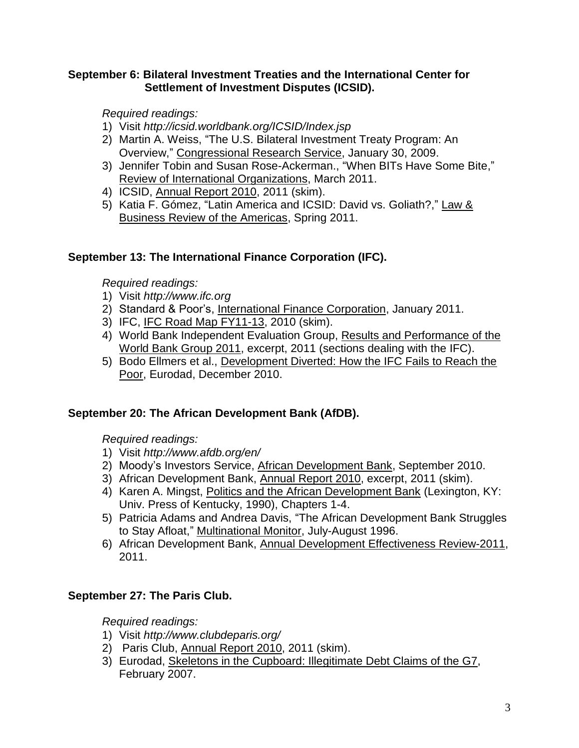#### **September 6: Bilateral Investment Treaties and the International Center for Settlement of Investment Disputes (ICSID).**

*Required readings:*

- 1) Visit *http://icsid.worldbank.org/ICSID/Index.jsp*
- 2) Martin A. Weiss, "The U.S. Bilateral Investment Treaty Program: An Overview," Congressional Research Service, January 30, 2009.
- 3) Jennifer Tobin and Susan Rose-Ackerman., "When BITs Have Some Bite," Review of International Organizations, March 2011.
- 4) ICSID, Annual Report 2010, 2011 (skim).
- 5) Katia F. Gómez, "Latin America and ICSID: David vs. Goliath?," Law & Business Review of the Americas, Spring 2011.

# **September 13: The International Finance Corporation (IFC).**

*Required readings:*

- 1) Visit *http://www.ifc.org*
- 2) Standard & Poor's, International Finance Corporation, January 2011.
- 3) IFC, IFC Road Map FY11-13, 2010 (skim).
- 4) World Bank Independent Evaluation Group, Results and Performance of the World Bank Group 2011, excerpt, 2011 (sections dealing with the IFC).
- 5) Bodo Ellmers et al., Development Diverted: How the IFC Fails to Reach the Poor, Eurodad, December 2010.

# **September 20: The African Development Bank (AfDB).**

*Required readings:*

- 1) Visit *http://www.afdb.org/en/*
- 2) Moody"s Investors Service, African Development Bank, September 2010.
- 3) African Development Bank, Annual Report 2010, excerpt, 2011 (skim).
- 4) Karen A. Mingst, Politics and the African Development Bank (Lexington, KY: Univ. Press of Kentucky, 1990), Chapters 1-4.
- 5) Patricia Adams and Andrea Davis, "The African Development Bank Struggles to Stay Afloat," Multinational Monitor, July-August 1996.
- 6) African Development Bank, Annual Development Effectiveness Review-2011, 2011.

# **September 27: The Paris Club.**

- 1) Visit *<http://www.clubdeparis.org/>*
- 2) Paris Club, Annual Report 2010, 2011 (skim).
- 3) Eurodad, Skeletons in the Cupboard: Illegitimate Debt Claims of the G7, February 2007.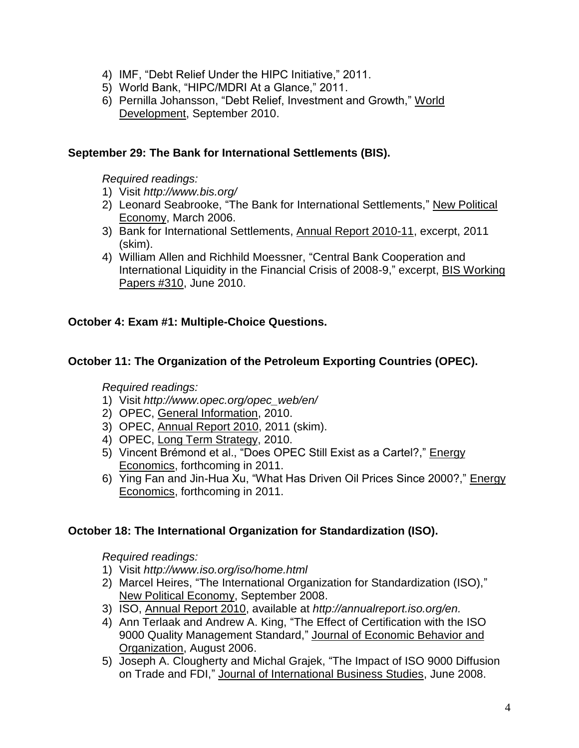- 4) IMF, "Debt Relief Under the HIPC Initiative," 2011.
- 5) World Bank, "HIPC/MDRI At a Glance," 2011.
- 6) Pernilla Johansson, "Debt Relief, Investment and Growth," World Development, September 2010.

### **September 29: The Bank for International Settlements (BIS).**

#### *Required readings:*

- 1) Visit *http://www.bis.org/*
- 2) Leonard Seabrooke, "The Bank for International Settlements," New Political Economy, March 2006.
- 3) Bank for International Settlements, Annual Report 2010-11, excerpt, 2011 (skim).
- 4) William Allen and Richhild Moessner, "Central Bank Cooperation and International Liquidity in the Financial Crisis of 2008-9," excerpt, BIS Working Papers #310, June 2010.

# **October 4: Exam #1: Multiple-Choice Questions.**

#### **October 11: The Organization of the Petroleum Exporting Countries (OPEC).**

#### *Required readings:*

- 1) Visit *[http://www.opec.org/opec\\_web/en/](http://www.opec.org/opec_web/en/)*
- 2) OPEC, General Information, 2010.
- 3) OPEC, Annual Report 2010, 2011 (skim).
- 4) OPEC, Long Term Strategy, 2010.
- 5) Vincent Brémond et al., "Does OPEC Still Exist as a Cartel?," Energy Economics, forthcoming in 2011.
- 6) Ying Fan and Jin-Hua Xu, "What Has Driven Oil Prices Since 2000?," Energy Economics, forthcoming in 2011.

#### **October 18: The International Organization for Standardization (ISO).**

- 1) Visit *http://www.iso.org/iso/home.html*
- 2) Marcel Heires, "The International Organization for Standardization (ISO)," New Political Economy, September 2008.
- 3) ISO, Annual Report 2010, available at *[http://annualreport.iso.org/en.](http://annualreport.iso.org/en)*
- 4) Ann Terlaak and Andrew A. King, "The Effect of Certification with the ISO 9000 Quality Management Standard," Journal of Economic Behavior and Organization, August 2006.
- 5) Joseph A. Clougherty and Michal Grajek, "The Impact of ISO 9000 Diffusion on Trade and FDI," Journal of International Business Studies, June 2008.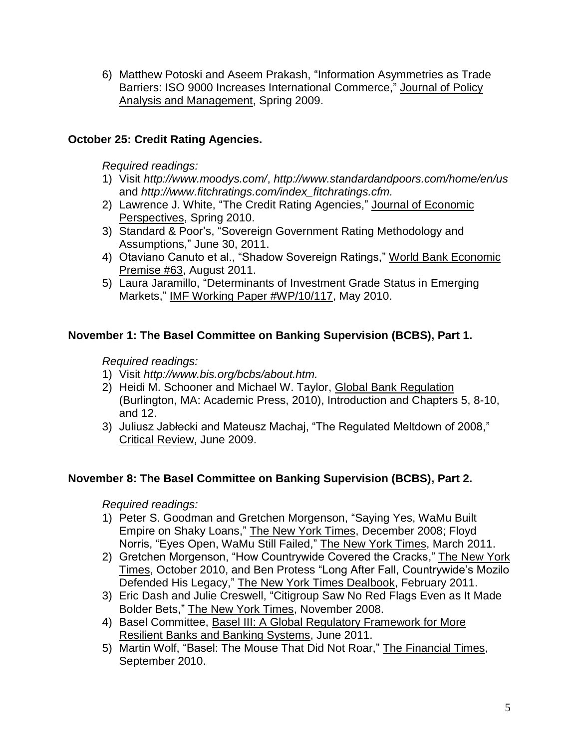6) Matthew Potoski and Aseem Prakash, "Information Asymmetries as Trade Barriers: ISO 9000 Increases International Commerce," Journal of Policy Analysis and Management, Spring 2009.

# **October 25: Credit Rating Agencies.**

*Required readings:* 

- 1) Visit *<http://www.moodys.com/>*, *<http://www.standardandpoors.com/home/en/us>* and *[http://www.fitchratings.com/index\\_fitchratings.cfm.](http://www.fitchratings.com/index_fitchratings.cfm)*
- 2) Lawrence J. White, "The Credit Rating Agencies," Journal of Economic Perspectives, Spring 2010.
- 3) Standard & Poor"s, "Sovereign Government Rating Methodology and Assumptions," June 30, 2011.
- 4) Otaviano Canuto et al., "Shadow Sovereign Ratings," World Bank Economic Premise #63, August 2011.
- 5) Laura Jaramillo, "Determinants of Investment Grade Status in Emerging Markets," IMF Working Paper #WP/10/117, May 2010.

# **November 1: The Basel Committee on Banking Supervision (BCBS), Part 1.**

# *Required readings:*

- 1) Visit *[http://www.bis.org/bcbs/about.htm.](http://www.bis.org/bcbs/about.htm)*
- 2) Heidi M. Schooner and Michael W. Taylor, Global Bank Regulation (Burlington, MA: Academic Press, 2010), Introduction and Chapters 5, 8-10, and 12.
- 3) Juliusz Jabłecki and Mateusz Machaj, "The Regulated Meltdown of 2008," Critical Review, June 2009.

# **November 8: The Basel Committee on Banking Supervision (BCBS), Part 2.**

- 1) Peter S. Goodman and Gretchen Morgenson, "Saying Yes, WaMu Built Empire on Shaky Loans," The New York Times, December 2008; Floyd Norris, "Eyes Open, WaMu Still Failed," The New York Times, March 2011.
- 2) Gretchen Morgenson, "How Countrywide Covered the Cracks," The New York Times, October 2010, and Ben Protess "Long After Fall, Countrywide"s Mozilo Defended His Legacy," The New York Times Dealbook, February 2011.
- 3) Eric Dash and Julie Creswell, "Citigroup Saw No Red Flags Even as It Made Bolder Bets," The New York Times, November 2008.
- 4) Basel Committee, Basel III: A Global Regulatory Framework for More Resilient Banks and Banking Systems, June 2011.
- 5) Martin Wolf, "Basel: The Mouse That Did Not Roar," The Financial Times, September 2010.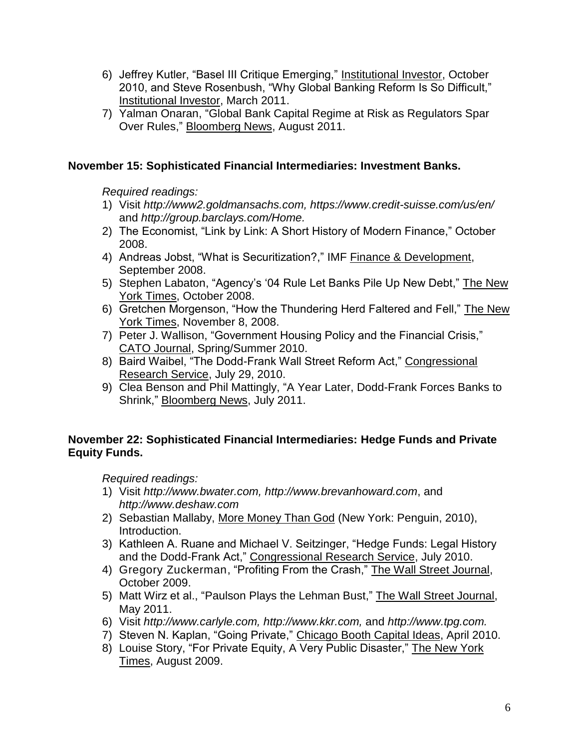- 6) Jeffrey Kutler, "Basel III Critique Emerging," Institutional Investor, October 2010, and Steve Rosenbush, "Why Global Banking Reform Is So Difficult," Institutional Investor, March 2011.
- 7) Yalman Onaran, "Global Bank Capital Regime at Risk as Regulators Spar Over Rules," Bloomberg News, August 2011.

# **November 15: Sophisticated Financial Intermediaries: Investment Banks.**

*Required readings:*

- 1) Visit *[http://www2.goldmansachs.com,](http://www2.goldmansachs.com/)<https://www.credit-suisse.com/us/en/>* and *[http://group.barclays.com/Home.](http://group.barclays.com/Home)*
- 2) The Economist, "Link by Link: A Short History of Modern Finance," October 2008.
- 4) Andreas Jobst, "What is Securitization?," IMF Finance & Development, September 2008.
- 5) [Stephen Labaton,](http://topics.nytimes.com/top/reference/timestopics/people/l/stephen_labaton/index.html?inline=nyt-per) "Agency"s "04 Rule Let Banks Pile Up New Debt," The New York Times, October 2008.
- 6) Gretchen Morgenson, "How the Thundering Herd Faltered and Fell," The New York Times, November 8, 2008.
- 7) [Peter J. Wallison,](http://topics.nytimes.com/top/reference/timestopics/people/d/charles_duhigg/index.html?inline=nyt-per) "Government Housing Policy and the Financial Crisis," CATO Journal, Spring/Summer 2010.
- 8) Baird Waibel, "The Dodd-Frank Wall Street Reform Act," Congressional Research Service, July 29, 2010.
- 9) Clea Benson and Phil Mattingly, "A Year Later, Dodd-Frank Forces Banks to Shrink," Bloomberg News, July 2011.

# **November 22: Sophisticated Financial Intermediaries: Hedge Funds and Private Equity Funds.**

- 1) Visit *[http://www.bwater.com,](http://www.bwater.com/) [http://www.brevanhoward.com](http://www.brevanhoward.com/)*, and *[http://www.deshaw.com](http://www.deshaw.com/)*
- 2) Sebastian Mallaby, More Money Than God (New York: Penguin, 2010), Introduction.
- 3) Kathleen A. Ruane and Michael V. Seitzinger, "Hedge Funds: Legal History and the Dodd-Frank Act," Congressional Research Service, July 2010.
- 4) [Gregory Zuckerman,](http://online.wsj.com/search/search_center.html?KEYWORDS=GREGORY+ZUCKERMAN&ARTICLESEARCHQUERY_PARSER=bylineAND) "Profiting From the Crash," The Wall Street Journal, October 2009.
- 5) Matt Wirz et al., "Paulson Plays the Lehman Bust," The Wall Street Journal, May 2011.
- 6) Visit *[http://www.carlyle.com,](http://www.carlyle.com/) [http://www.kkr.com,](http://www.kkr.com/)* and *[http://www.tpg.com.](http://www.tpg.com/)*
- 7) Steven N. Kaplan, "Going Private," Chicago Booth Capital Ideas, April 2010.
- 8) [Louise Story,](http://topics.nytimes.com/top/reference/timestopics/people/s/louise_story/index.html?inline=nyt-per) "For Private Equity, A Very Public Disaster," The New York Times, August 2009.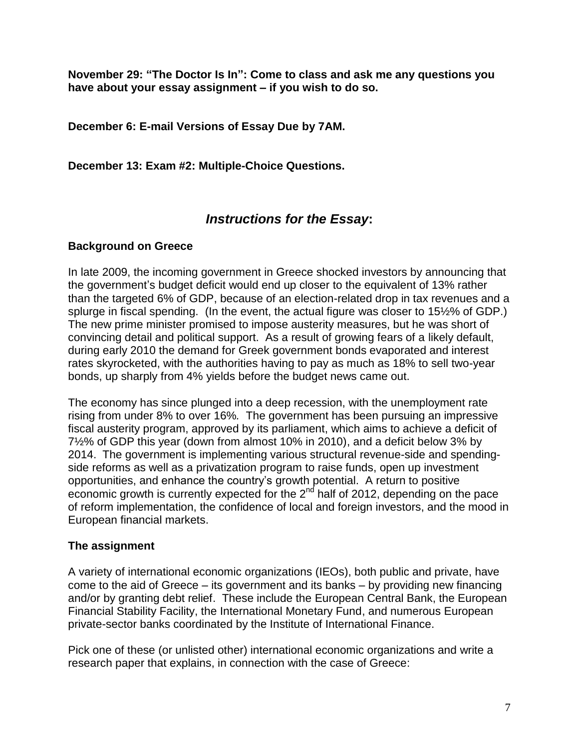**November 29: "The Doctor Is In": Come to class and ask me any questions you have about your essay assignment – if you wish to do so.**

**December 6: E-mail Versions of Essay Due by 7AM.**

**December 13: Exam #2: Multiple-Choice Questions.**

# *Instructions for the Essay***:**

#### **Background on Greece**

In late 2009, the incoming government in Greece shocked investors by announcing that the government"s budget deficit would end up closer to the equivalent of 13% rather than the targeted 6% of GDP, because of an election-related drop in tax revenues and a splurge in fiscal spending. (In the event, the actual figure was closer to 15½% of GDP.) The new prime minister promised to impose austerity measures, but he was short of convincing detail and political support. As a result of growing fears of a likely default, during early 2010 the demand for Greek government bonds evaporated and interest rates skyrocketed, with the authorities having to pay as much as 18% to sell two-year bonds, up sharply from 4% yields before the budget news came out.

The economy has since plunged into a deep recession, with the unemployment rate rising from under 8% to over 16%*.* The government has been pursuing an impressive fiscal austerity program, approved by its parliament, which aims to achieve a deficit of 7½% of GDP this year (down from almost 10% in 2010), and a deficit below 3% by 2014. The government is implementing various structural revenue-side and spendingside reforms as well as a privatization program to raise funds, open up investment opportunities, and enhance the country"s growth potential. A return to positive economic growth is currently expected for the  $2^{nd}$  half of 2012, depending on the pace of reform implementation, the confidence of local and foreign investors, and the mood in European financial markets.

# **The assignment**

A variety of international economic organizations (IEOs), both public and private, have come to the aid of Greece – its government and its banks – by providing new financing and/or by granting debt relief. These include the European Central Bank, the European Financial Stability Facility, the International Monetary Fund, and numerous European private-sector banks coordinated by the Institute of International Finance.

Pick one of these (or unlisted other) international economic organizations and write a research paper that explains, in connection with the case of Greece: